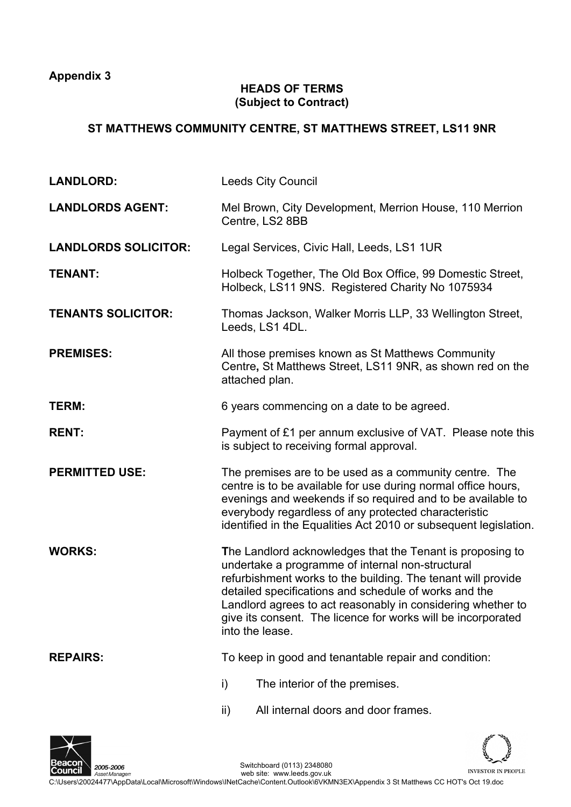**Appendix 3** 

## **HEADS OF TERMS (Subject to Contract)**

## **ST MATTHEWS COMMUNITY CENTRE, ST MATTHEWS STREET, LS11 9NR**

| <b>LANDLORD:</b>            | <b>Leeds City Council</b>                                                                                                                                                                                                                                                                                                                                                                |  |  |
|-----------------------------|------------------------------------------------------------------------------------------------------------------------------------------------------------------------------------------------------------------------------------------------------------------------------------------------------------------------------------------------------------------------------------------|--|--|
| <b>LANDLORDS AGENT:</b>     | Mel Brown, City Development, Merrion House, 110 Merrion<br>Centre, LS2 8BB                                                                                                                                                                                                                                                                                                               |  |  |
| <b>LANDLORDS SOLICITOR:</b> | Legal Services, Civic Hall, Leeds, LS1 1UR                                                                                                                                                                                                                                                                                                                                               |  |  |
| <b>TENANT:</b>              | Holbeck Together, The Old Box Office, 99 Domestic Street,<br>Holbeck, LS11 9NS. Registered Charity No 1075934                                                                                                                                                                                                                                                                            |  |  |
| <b>TENANTS SOLICITOR:</b>   | Thomas Jackson, Walker Morris LLP, 33 Wellington Street,<br>Leeds, LS1 4DL.                                                                                                                                                                                                                                                                                                              |  |  |
| <b>PREMISES:</b>            | All those premises known as St Matthews Community<br>Centre, St Matthews Street, LS11 9NR, as shown red on the<br>attached plan.                                                                                                                                                                                                                                                         |  |  |
| TERM:                       | 6 years commencing on a date to be agreed.                                                                                                                                                                                                                                                                                                                                               |  |  |
| <b>RENT:</b>                | Payment of £1 per annum exclusive of VAT. Please note this<br>is subject to receiving formal approval.                                                                                                                                                                                                                                                                                   |  |  |
| <b>PERMITTED USE:</b>       | The premises are to be used as a community centre. The<br>centre is to be available for use during normal office hours,<br>evenings and weekends if so required and to be available to<br>everybody regardless of any protected characteristic<br>identified in the Equalities Act 2010 or subsequent legislation.                                                                       |  |  |
| <b>WORKS:</b>               | The Landlord acknowledges that the Tenant is proposing to<br>undertake a programme of internal non-structural<br>refurbishment works to the building. The tenant will provide<br>detailed specifications and schedule of works and the<br>Landlord agrees to act reasonably in considering whether to<br>give its consent. The licence for works will be incorporated<br>into the lease. |  |  |
| <b>REPAIRS:</b>             | To keep in good and tenantable repair and condition:                                                                                                                                                                                                                                                                                                                                     |  |  |
|                             | i)<br>The interior of the premises.                                                                                                                                                                                                                                                                                                                                                      |  |  |
|                             | All internal doors and door frames.<br>ii)                                                                                                                                                                                                                                                                                                                                               |  |  |



Switchboard (0113) 2348080 INVESTOR IN PEOPLE web site: www.leeds.gov.uk C:\Users\20024477\AppData\Local\Microsoft\Windows\INetCache\Content.Outlook\6VKMN3EX\Appendix 3 St Matthews CC HOT's Oct 19.doc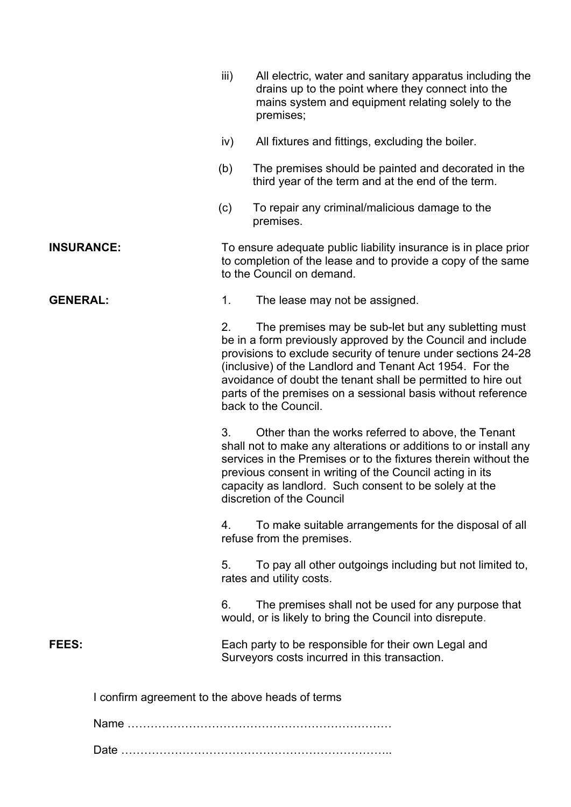|                                                 | iii)                                                                                                                                                         | All electric, water and sanitary apparatus including the<br>drains up to the point where they connect into the<br>mains system and equipment relating solely to the<br>premises;                                                                                                                                                                                                                        |  |
|-------------------------------------------------|--------------------------------------------------------------------------------------------------------------------------------------------------------------|---------------------------------------------------------------------------------------------------------------------------------------------------------------------------------------------------------------------------------------------------------------------------------------------------------------------------------------------------------------------------------------------------------|--|
|                                                 | iv)                                                                                                                                                          | All fixtures and fittings, excluding the boiler.                                                                                                                                                                                                                                                                                                                                                        |  |
|                                                 | (b)                                                                                                                                                          | The premises should be painted and decorated in the<br>third year of the term and at the end of the term.                                                                                                                                                                                                                                                                                               |  |
|                                                 | (c)                                                                                                                                                          | To repair any criminal/malicious damage to the<br>premises.                                                                                                                                                                                                                                                                                                                                             |  |
| <b>INSURANCE:</b>                               | To ensure adequate public liability insurance is in place prior<br>to completion of the lease and to provide a copy of the same<br>to the Council on demand. |                                                                                                                                                                                                                                                                                                                                                                                                         |  |
| <b>GENERAL:</b>                                 | 1.                                                                                                                                                           | The lease may not be assigned.                                                                                                                                                                                                                                                                                                                                                                          |  |
|                                                 | 2.                                                                                                                                                           | The premises may be sub-let but any subletting must<br>be in a form previously approved by the Council and include<br>provisions to exclude security of tenure under sections 24-28<br>(inclusive) of the Landlord and Tenant Act 1954. For the<br>avoidance of doubt the tenant shall be permitted to hire out<br>parts of the premises on a sessional basis without reference<br>back to the Council. |  |
|                                                 | 3.                                                                                                                                                           | Other than the works referred to above, the Tenant<br>shall not to make any alterations or additions to or install any<br>services in the Premises or to the fixtures therein without the<br>previous consent in writing of the Council acting in its<br>capacity as landlord. Such consent to be solely at the<br>discretion of the Council                                                            |  |
|                                                 | 4.                                                                                                                                                           | To make suitable arrangements for the disposal of all<br>refuse from the premises.                                                                                                                                                                                                                                                                                                                      |  |
|                                                 | 5.                                                                                                                                                           | To pay all other outgoings including but not limited to,<br>rates and utility costs.                                                                                                                                                                                                                                                                                                                    |  |
|                                                 | 6.                                                                                                                                                           | The premises shall not be used for any purpose that<br>would, or is likely to bring the Council into disrepute.                                                                                                                                                                                                                                                                                         |  |
| <b>FEES:</b>                                    |                                                                                                                                                              | Each party to be responsible for their own Legal and<br>Surveyors costs incurred in this transaction.                                                                                                                                                                                                                                                                                                   |  |
| I confirm agreement to the above heads of terms |                                                                                                                                                              |                                                                                                                                                                                                                                                                                                                                                                                                         |  |
|                                                 |                                                                                                                                                              |                                                                                                                                                                                                                                                                                                                                                                                                         |  |
|                                                 |                                                                                                                                                              |                                                                                                                                                                                                                                                                                                                                                                                                         |  |

Date ……………………………………………………………..